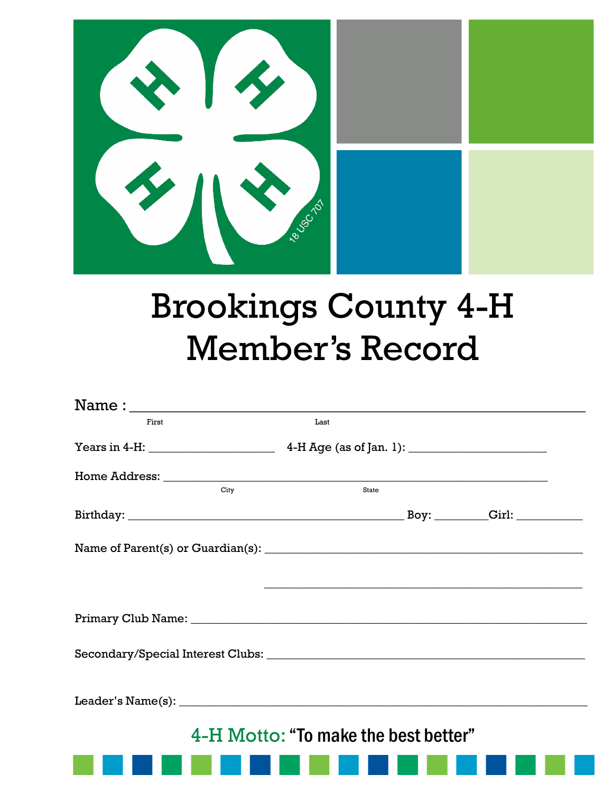

## **Brookings County 4-H Member's Record**

| First | Last |                                                                                                                       |  |
|-------|------|-----------------------------------------------------------------------------------------------------------------------|--|
|       |      |                                                                                                                       |  |
|       |      |                                                                                                                       |  |
| City  |      | State                                                                                                                 |  |
|       |      |                                                                                                                       |  |
|       |      |                                                                                                                       |  |
|       |      | <u> 1989 - Johann Stoff, deutscher Stoff, der Stoff, der Stoff, der Stoff, der Stoff, der Stoff, der Stoff, der S</u> |  |
|       |      |                                                                                                                       |  |
|       |      |                                                                                                                       |  |
|       |      |                                                                                                                       |  |
|       |      | 4-H Motto: "To make the best better"                                                                                  |  |
|       |      |                                                                                                                       |  |